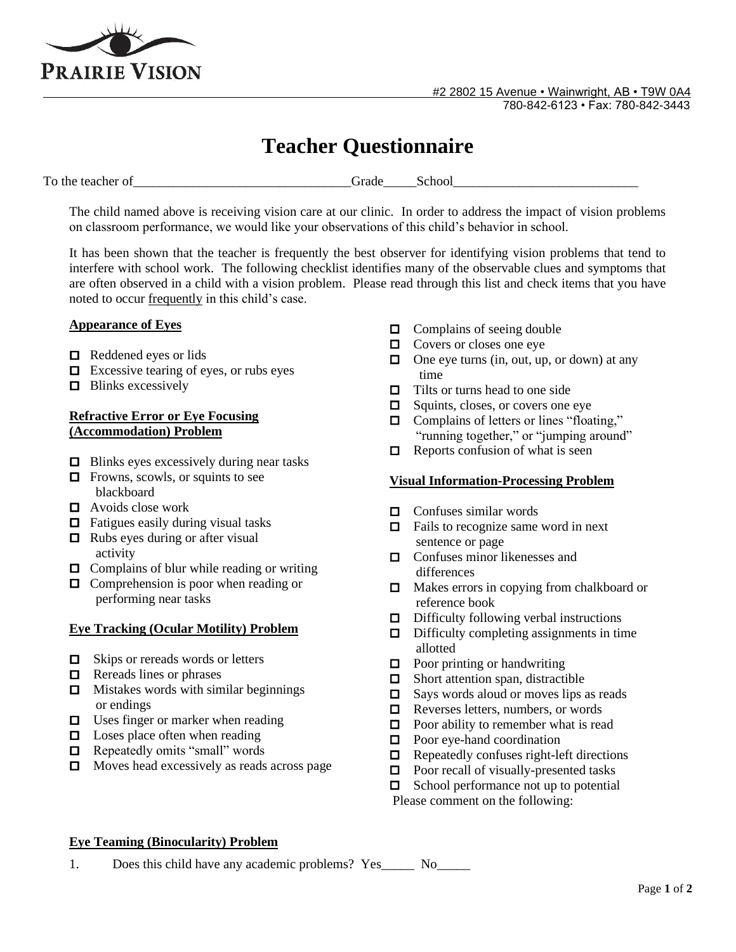

# **Teacher Questionnaire**

To the teacher of The teacher of the teacher of the school of the school of the teacher of the school of the school

The child named above is receiving vision care at our clinic. In order to address the impact of vision problems on classroom performance, we would like your observations of this child's behavior in school.

It has been shown that the teacher is frequently the best observer for identifying vision problems that tend to interfere with school work. The following checklist identifies many of the observable clues and symptoms that are often observed in a child with a vision problem. Please read through this list and check items that you have noted to occur frequently in this child's case.

## **Appearance of Eyes**

- $\Box$  Reddened eyes or lids
- $\Box$  Excessive tearing of eyes, or rubs eyes
- $\Box$  Blinks excessively

## **Refractive Error or Eye Focusing (Accommodation) Problem**

- **□** Blinks eyes excessively during near tasks
- $\Box$  Frowns, scowls, or squints to see blackboard
- Avoids close work
- □ Fatigues easily during visual tasks
- $\Box$  Rubs eyes during or after visual activity
- **□** Complains of blur while reading or writing
- □ Comprehension is poor when reading or performing near tasks

## **Eye Tracking (Ocular Motility) Problem**

- □ Skips or rereads words or letters
- $\Box$  Rereads lines or phrases
- $\Box$  Mistakes words with similar beginnings or endings
- $\Box$  Uses finger or marker when reading
- □ Loses place often when reading
- **□** Repeatedly omits "small" words
- □ Moves head excessively as reads across page
- □ Complains of seeing double
- □ Covers or closes one eye
- □ One eye turns (in, out, up, or down) at any time
- □ Tilts or turns head to one side
- **□** Squints, closes, or covers one eye
- Complains of letters or lines "floating," "running together," or "jumping around"
- $\Box$  Reports confusion of what is seen

## **Visual Information-Processing Problem**

- $\Box$  Confuses similar words
- **□** Fails to recognize same word in next sentence or page
- □ Confuses minor likenesses and differences
- □ Makes errors in copying from chalkboard or reference book
- $\Box$  Difficulty following verbal instructions
- □ Difficulty completing assignments in time allotted
- Poor printing or handwriting
- □ Short attention span, distractible
- □ Says words aloud or moves lips as reads
- $\Box$  Reverses letters, numbers, or words
- $\Box$  Poor ability to remember what is read
- $\Box$  Poor eye-hand coordination
- $\Box$  Repeatedly confuses right-left directions
- $\Box$  Poor recall of visually-presented tasks
- □ School performance not up to potential
- Please comment on the following:

## **Eye Teaming (Binocularity) Problem**

1. Does this child have any academic problems? Yes No